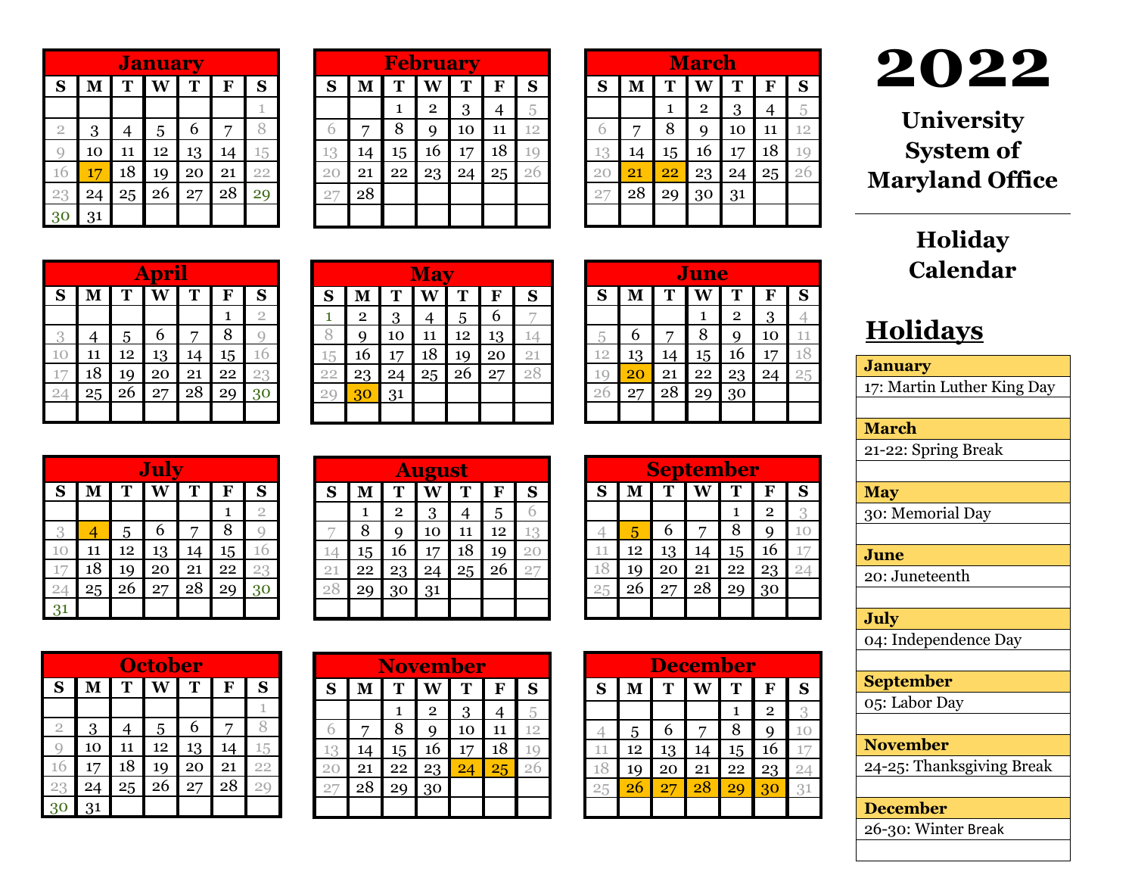|                | <b>January</b> |    |    |    |    |    |
|----------------|----------------|----|----|----|----|----|
| S              | M              | T  | W  | T  | F  | S  |
|                |                |    |    |    |    | 1  |
| $\overline{2}$ | 3              | 4  | 5  | 6  | 7  |    |
| g              | 10             | 11 | 12 | 13 | 14 | 15 |
| 16             | 17             | 18 | 19 | 20 | 21 | 22 |
| 23             | 24             | 25 | 26 | 27 | 28 | 29 |
| 3 <sup>6</sup> | 31             |    |    |    |    |    |

| <b>February</b> |    |    |                |    |    |    |
|-----------------|----|----|----------------|----|----|----|
| S               | M  | T  | Ŵ              | T  | F  | S  |
|                 |    | 1  | $\overline{2}$ | 3  | 4  | 5  |
| 6               | 7  | 8  | q              | 10 | 11 | 12 |
| 13              | 14 | 15 | 16             | 17 | 18 | 19 |
| 20              | 21 | 22 | 23             | 24 | 25 | 26 |
| 27              | 28 |    |                |    |    |    |
|                 |    |    |                |    |    |    |

|    |    |                 | <b>March</b>   |    |                |    |
|----|----|-----------------|----------------|----|----------------|----|
| S  | M  | T               | Ŵ              | T  | F              | S  |
|    |    | $\mathbf{1}$    | $\overline{2}$ | 3  | $\overline{4}$ | 5  |
| 6  | 7  | 8               | Q              | 10 | 11             | 12 |
| 13 | 14 | 15              | 16             | 17 | 18             | 10 |
| 20 | 21 | $\overline{22}$ | 23             | 24 | 25             | 26 |
| 27 | 28 | 29              | 30             | 31 |                |    |
|    |    |                 |                |    |                |    |

## **20 2 2**

**University System of Maryland Office** 

|    |                         |    | April |    |    |                |
|----|-------------------------|----|-------|----|----|----------------|
| S  | $\overline{\mathbf{M}}$ | T  |       | T  | F  | S              |
|    |                         |    |       |    | 1  | $\overline{2}$ |
| 3  | 4                       | 5  | 6     | 7  | 8  |                |
| 10 | 11                      | 12 | 13    | 14 | 15 | 16             |
| 1  | 18                      | 19 | 20    | 21 | 22 | 23             |
| 24 | 25                      | 26 | 27    | 28 | 29 | 30             |
|    |                         |    |       |    |    |                |

|    |                |    | <b>May</b> |    |    |    |
|----|----------------|----|------------|----|----|----|
| S  | М              | T  |            | т  | F  | S  |
|    | $\overline{2}$ | 3  |            | 5  | 6  |    |
|    | q              | 10 | 11         | 12 | 13 | 14 |
| 15 | 16             | 17 | 18         | 19 | 20 | 21 |
| 22 | 23             | 24 | 25         | 26 | 27 | 28 |
| 20 | 30             | 31 |            |    |    |    |
|    |                |    |            |    |    |    |

|     |    |    | June |              |    |    |
|-----|----|----|------|--------------|----|----|
| S   | M  | T  |      | T            | F  | S  |
|     |    |    | 1    | $\mathbf{2}$ | 3  |    |
| 5   | 6  | 7  | 8    | q            | 10 | 11 |
| 12  | 13 | 14 | 15   | 16           | 17 | 18 |
| 1 C | 20 | 21 | 22   | 23           | 24 | 25 |
| 26  | 27 | 28 | 29   | 30           |    |    |
|     |    |    |      |              |    |    |

| July |    |    |    |    |    |                |
|------|----|----|----|----|----|----------------|
| S    | м  | T  |    | Т  | F  | S              |
|      |    |    |    |    | 1  | $\overline{2}$ |
| 3    |    | 5  | 6  | 7  | 8  |                |
| 10   | 11 | 12 | 13 | 14 | 15 | 16             |
| 17   | 18 | 19 | 20 | 21 | 22 | 23             |
| 24   | 25 | 26 | 27 | 28 | 29 | 30             |
| 31   |    |    |    |    |    |                |

|    |    |                | <b>August</b> |    |    |    |
|----|----|----------------|---------------|----|----|----|
| S  | М  | T              |               | T  | F  | S  |
|    | 1  | $\overline{2}$ | $\mathbf{3}$  |    | 5  |    |
|    | 8  | Q              | 10            | 11 | 12 | 13 |
| 14 | 15 | 16             | 17            | 18 | 19 | 20 |
| 21 | 22 | 23             | 24            | 25 | 26 | 27 |
| 28 | 29 | 30             | 31            |    |    |    |
|    |    |                |               |    |    |    |

| <b>September</b> |    |    |    |    |                |    |
|------------------|----|----|----|----|----------------|----|
| S                | М  | T  |    | Т  | F              | S  |
|                  |    |    |    | 1  | $\overline{2}$ | 3  |
|                  | 5  | 6  |    | 8  | q              | 10 |
| 11               | 12 | 13 | 14 | 15 | 16             |    |
| 18               | 19 | 20 | 21 | 22 | 23             | 2  |
| 25               | 26 | 27 | 28 | 29 | 30             |    |
|                  |    |    |    |    |                |    |

|  |    |    |    | <b>December</b> |    |                |   |
|--|----|----|----|-----------------|----|----------------|---|
|  | S  |    | T  |                 | Т  | F              | S |
|  |    |    |    |                 | 1  | $\overline{2}$ |   |
|  |    | 5  | 6  |                 | 8  |                |   |
|  | 11 | 12 | 13 | 14              | 15 | 16             |   |
|  | 1۲ | 19 | 20 | 21              | 22 | 23             |   |
|  | 25 |    | 27 | 28              | 2¢ | 30             |   |
|  |    |    |    |                 |    |                |   |

| Holiday  |
|----------|
| Calendar |

## **Holidays**

| <b>January</b>             |
|----------------------------|
| 17: Martin Luther King Day |
|                            |
| <b>March</b>               |
| 21-22: Spring Break        |
|                            |
| <b>May</b>                 |
| 30: Memorial Day           |
|                            |
| June                       |
| 20: Juneteenth             |
|                            |
| July                       |
| 04: Independence Day       |
|                            |
| <b>September</b>           |
| 05: Labor Day              |
|                            |
| <b>November</b>            |
| 24-25: Thanksgiving Break  |
|                            |
| <b>December</b>            |
| 26-30: Winter Break        |

| <b>October</b> |    |    |    |    |    |    |
|----------------|----|----|----|----|----|----|
| S              | M  | T  |    | Т  | F  | S  |
|                |    |    |    |    |    | 1  |
| $\overline{2}$ | 3  | 4  | 5  | 6  |    |    |
|                | 10 | 11 | 12 | 13 | 14 | 15 |
| 16             | 17 | 18 | 19 | 20 | 21 | 22 |
| 23             | 24 | 25 | 26 | 27 | 28 | 20 |
|                | 31 |    |    |    |    |    |

| <b>November</b> |    |    |                |    |    |    |
|-----------------|----|----|----------------|----|----|----|
| S               | M  | T  |                | T  | F  | S  |
|                 |    | 1  | $\overline{2}$ | 3  | 4  | 5  |
| 6               |    | 8  | q              | 10 | 11 | 12 |
| 13              | 14 | 15 | 16             | 17 | 18 | 10 |
| 20              | 21 | 22 | 23             | 24 | 25 | 26 |
| 27              | 28 | 29 | 30             |    |    |    |
|                 |    |    |                |    |    |    |